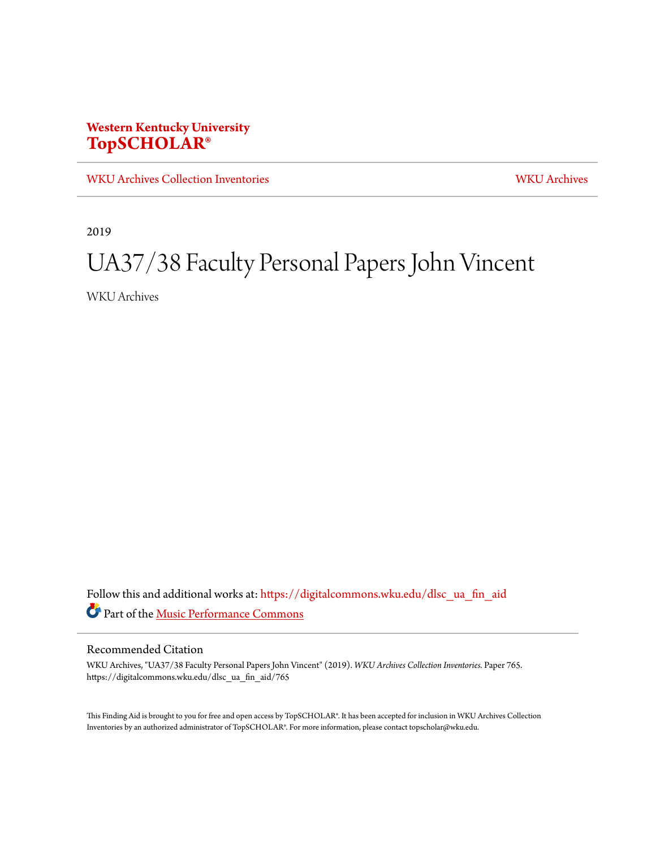### **Western Kentucky University [TopSCHOLAR®](https://digitalcommons.wku.edu?utm_source=digitalcommons.wku.edu%2Fdlsc_ua_fin_aid%2F765&utm_medium=PDF&utm_campaign=PDFCoverPages)**

[WKU Archives Collection Inventories](https://digitalcommons.wku.edu/dlsc_ua_fin_aid?utm_source=digitalcommons.wku.edu%2Fdlsc_ua_fin_aid%2F765&utm_medium=PDF&utm_campaign=PDFCoverPages) [WKU Archives](https://digitalcommons.wku.edu/dlsc_ua?utm_source=digitalcommons.wku.edu%2Fdlsc_ua_fin_aid%2F765&utm_medium=PDF&utm_campaign=PDFCoverPages)

2019

# UA37/38 Faculty Personal Papers John Vincent

WKU Archives

Follow this and additional works at: [https://digitalcommons.wku.edu/dlsc\\_ua\\_fin\\_aid](https://digitalcommons.wku.edu/dlsc_ua_fin_aid?utm_source=digitalcommons.wku.edu%2Fdlsc_ua_fin_aid%2F765&utm_medium=PDF&utm_campaign=PDFCoverPages) Part of the [Music Performance Commons](http://network.bepress.com/hgg/discipline/1128?utm_source=digitalcommons.wku.edu%2Fdlsc_ua_fin_aid%2F765&utm_medium=PDF&utm_campaign=PDFCoverPages)

#### Recommended Citation

WKU Archives, "UA37/38 Faculty Personal Papers John Vincent" (2019). *WKU Archives Collection Inventories.* Paper 765. https://digitalcommons.wku.edu/dlsc\_ua\_fin\_aid/765

This Finding Aid is brought to you for free and open access by TopSCHOLAR®. It has been accepted for inclusion in WKU Archives Collection Inventories by an authorized administrator of TopSCHOLAR®. For more information, please contact topscholar@wku.edu.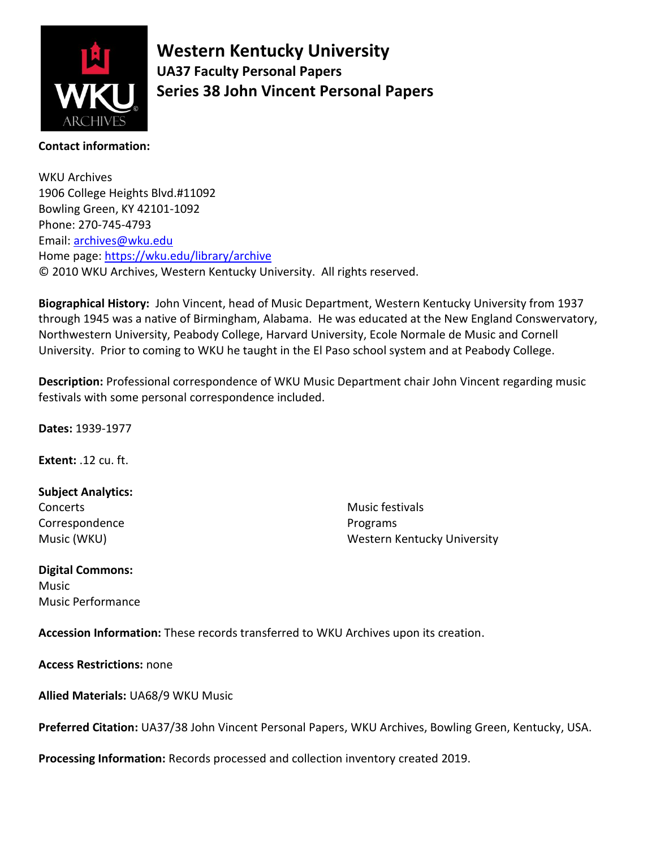

**Western Kentucky University UA37 Faculty Personal Papers Series 38 John Vincent Personal Papers**

#### **Contact information:**

WKU Archives 1906 College Heights Blvd.#11092 Bowling Green, KY 42101-1092 Phone: 270-745-4793 Email: [archives@wku.edu](mailto:archives@wku.edu) Home page:<https://wku.edu/library/archive> © 2010 WKU Archives, Western Kentucky University. All rights reserved.

**Biographical History:** John Vincent, head of Music Department, Western Kentucky University from 1937 through 1945 was a native of Birmingham, Alabama. He was educated at the New England Conswervatory, Northwestern University, Peabody College, Harvard University, Ecole Normale de Music and Cornell University. Prior to coming to WKU he taught in the El Paso school system and at Peabody College.

**Description:** Professional correspondence of WKU Music Department chair John Vincent regarding music festivals with some personal correspondence included.

**Dates:** 1939-1977

**Extent:** .12 cu. ft.

#### **Subject Analytics:**

**Concerts** Correspondence Music (WKU)

Music festivals Programs Western Kentucky University

#### **Digital Commons:**

**Music** Music Performance

**Accession Information:** These records transferred to WKU Archives upon its creation.

**Access Restrictions:** none

**Allied Materials:** UA68/9 WKU Music

**Preferred Citation:** UA37/38 John Vincent Personal Papers, WKU Archives, Bowling Green, Kentucky, USA.

**Processing Information:** Records processed and collection inventory created 2019.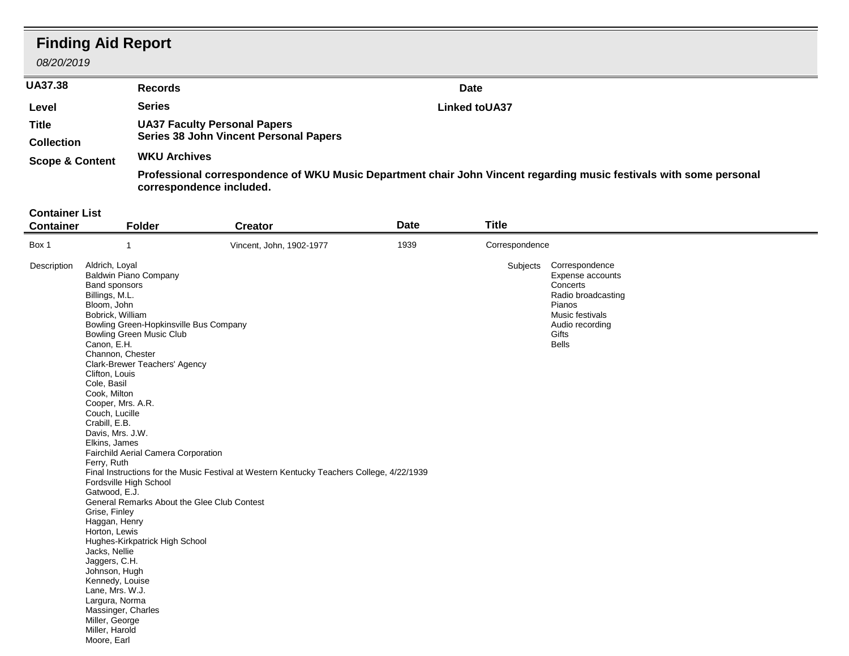## **Finding Aid Report**

*08/20/2019*

| <b>UA37.38</b>             | <b>Records</b>                                                                                                                                  | <b>Date</b>           |  |  |  |
|----------------------------|-------------------------------------------------------------------------------------------------------------------------------------------------|-----------------------|--|--|--|
| Level                      | <b>Series</b>                                                                                                                                   | <b>Linked to UA37</b> |  |  |  |
| Title<br><b>Collection</b> | <b>UA37 Faculty Personal Papers</b><br><b>Series 38 John Vincent Personal Papers</b>                                                            |                       |  |  |  |
| <b>Scope &amp; Content</b> | <b>WKU Archives</b>                                                                                                                             |                       |  |  |  |
|                            | Professional correspondence of WKU Music Department chair John Vincent regarding music festivals with some personal<br>correspondence included. |                       |  |  |  |

#### **Container List**

| <b>Container</b> | <b>Folder</b>                                                                                                                                                                                                                                                                                                                                                                                                                                                                                                                                                                                                                                                                                                                                                                                                                                | <b>Creator</b>                                                                            | <b>Date</b> | <b>Title</b>   |                                                                                                                                                        |
|------------------|----------------------------------------------------------------------------------------------------------------------------------------------------------------------------------------------------------------------------------------------------------------------------------------------------------------------------------------------------------------------------------------------------------------------------------------------------------------------------------------------------------------------------------------------------------------------------------------------------------------------------------------------------------------------------------------------------------------------------------------------------------------------------------------------------------------------------------------------|-------------------------------------------------------------------------------------------|-------------|----------------|--------------------------------------------------------------------------------------------------------------------------------------------------------|
| Box 1            |                                                                                                                                                                                                                                                                                                                                                                                                                                                                                                                                                                                                                                                                                                                                                                                                                                              | Vincent, John, 1902-1977                                                                  | 1939        | Correspondence |                                                                                                                                                        |
| Description      | Aldrich, Loyal<br><b>Baldwin Piano Company</b><br>Band sponsors<br>Billings, M.L.<br>Bloom, John<br>Bobrick, William<br>Bowling Green-Hopkinsville Bus Company<br><b>Bowling Green Music Club</b><br>Canon, E.H.<br>Channon, Chester<br>Clark-Brewer Teachers' Agency<br>Clifton, Louis<br>Cole, Basil<br>Cook, Milton<br>Cooper, Mrs. A.R.<br>Couch, Lucille<br>Crabill, E.B.<br>Davis, Mrs. J.W.<br>Elkins, James<br>Fairchild Aerial Camera Corporation<br>Ferry, Ruth<br>Fordsville High School<br>Gatwood, E.J.<br>General Remarks About the Glee Club Contest<br>Grise, Finley<br>Haggan, Henry<br>Horton, Lewis<br>Hughes-Kirkpatrick High School<br>Jacks, Nellie<br>Jaggers, C.H.<br>Johnson, Hugh<br>Kennedy, Louise<br>Lane, Mrs. W.J.<br>Largura, Norma<br>Massinger, Charles<br>Miller, George<br>Miller, Harold<br>Moore, Earl | Final Instructions for the Music Festival at Western Kentucky Teachers College, 4/22/1939 |             |                | Subjects Correspondence<br>Expense accounts<br>Concerts<br>Radio broadcasting<br>Pianos<br>Music festivals<br>Audio recording<br>Gifts<br><b>Bells</b> |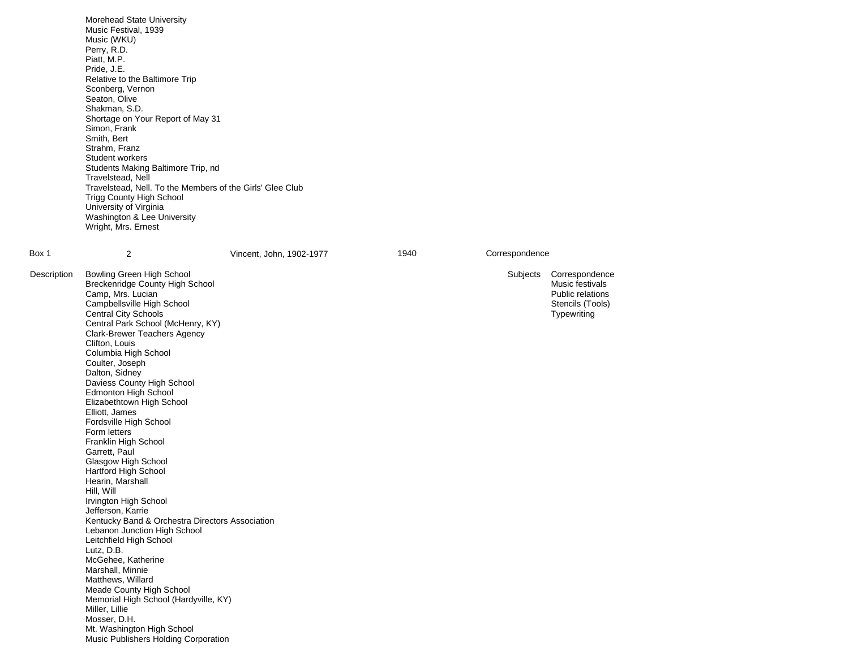|             | Morehead State University<br>Music Festival, 1939<br>Music (WKU)<br>Perry, R.D.<br>Piatt, M.P.                                                                                                                                                                                                                                                                                                                                                                                                                                                                                                                                                                                      |                          |      |              |
|-------------|-------------------------------------------------------------------------------------------------------------------------------------------------------------------------------------------------------------------------------------------------------------------------------------------------------------------------------------------------------------------------------------------------------------------------------------------------------------------------------------------------------------------------------------------------------------------------------------------------------------------------------------------------------------------------------------|--------------------------|------|--------------|
|             | Pride, J.E.<br>Relative to the Baltimore Trip<br>Sconberg, Vernon<br>Seaton, Olive<br>Shakman, S.D.                                                                                                                                                                                                                                                                                                                                                                                                                                                                                                                                                                                 |                          |      |              |
|             | Shortage on Your Report of May 31<br>Simon, Frank<br>Smith, Bert<br>Strahm, Franz<br>Student workers                                                                                                                                                                                                                                                                                                                                                                                                                                                                                                                                                                                |                          |      |              |
|             | Students Making Baltimore Trip, nd<br>Travelstead, Nell<br>Travelstead, Nell. To the Members of the Girls' Glee Club<br><b>Trigg County High School</b><br>University of Virginia<br>Washington & Lee University<br>Wright, Mrs. Ernest                                                                                                                                                                                                                                                                                                                                                                                                                                             |                          |      |              |
| Box 1       | 2                                                                                                                                                                                                                                                                                                                                                                                                                                                                                                                                                                                                                                                                                   | Vincent, John, 1902-1977 | 1940 | Corresponden |
| Description | Bowling Green High School<br>Breckenridge County High School<br>Camp, Mrs. Lucian<br>Campbellsville High School<br><b>Central City Schools</b><br>Central Park School (McHenry, KY)<br><b>Clark-Brewer Teachers Agency</b><br>Clifton, Louis<br>Columbia High School<br>Coulter, Joseph<br>Dalton, Sidney<br>Daviess County High School<br>Edmonton High School<br>Elizabethtown High School<br>Elliott, James<br>Fordsville High School<br>Form letters<br>Franklin High School<br>Garrett, Paul<br>Glasgow High School<br>Hartford High School<br>Hearin, Marshall<br>Hill, Will<br>Irvington High School<br>Jefferson, Karrie<br>Kentucky Band & Orchestra Directors Association |                          |      | Subjects     |
|             | Lebanon Junction High School<br>Leitchfield High School<br>Lutz, D.B.<br>McGehee, Katherine                                                                                                                                                                                                                                                                                                                                                                                                                                                                                                                                                                                         |                          |      |              |
|             | Marshall, Minnie<br>Matthews, Willard<br>Meade County High School<br>Memorial High School (Hardyville, KY)<br>Miller, Lillie<br>Mosser, D.H.                                                                                                                                                                                                                                                                                                                                                                                                                                                                                                                                        |                          |      |              |

Mt. Washington High School Music Publishers Holding Corporation respondence

Correspondence Music festivals Public relations Stencils (Tools) **Typewriting**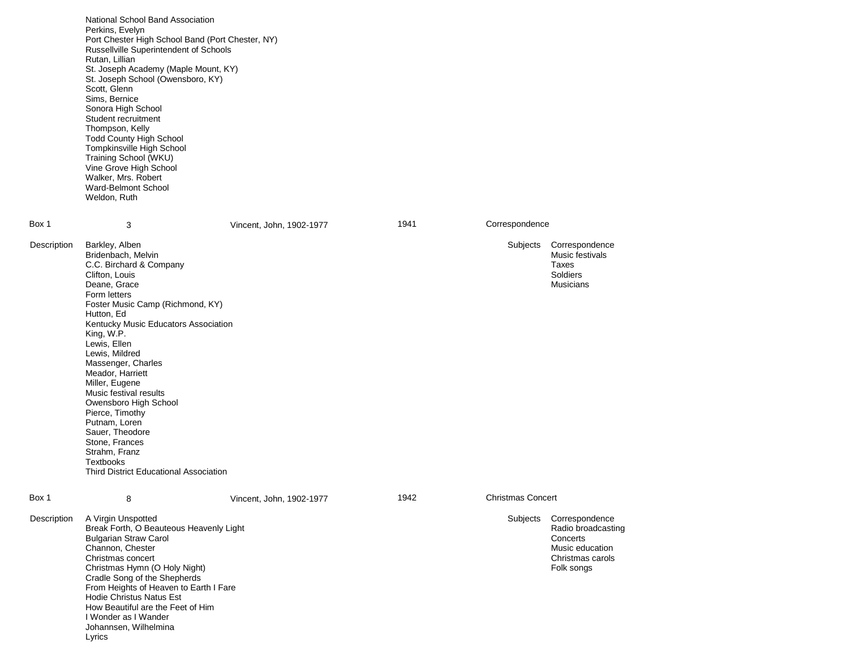|             | National School Band Association<br>Perkins, Evelyn<br>Port Chester High School Band (Port Chester, NY)<br>Russellville Superintendent of Schools<br>Rutan, Lillian<br>St. Joseph Academy (Maple Mount, KY)<br>St. Joseph School (Owensboro, KY)<br>Scott, Glenn<br>Sims, Bernice<br>Sonora High School<br>Student recruitment<br>Thompson, Kelly<br><b>Todd County High School</b><br>Tompkinsville High School<br>Training School (WKU)<br>Vine Grove High School<br>Walker, Mrs. Robert<br>Ward-Belmont School<br>Weldon, Ruth         |                          |      |                          |                                                                                                       |
|-------------|-------------------------------------------------------------------------------------------------------------------------------------------------------------------------------------------------------------------------------------------------------------------------------------------------------------------------------------------------------------------------------------------------------------------------------------------------------------------------------------------------------------------------------------------|--------------------------|------|--------------------------|-------------------------------------------------------------------------------------------------------|
| Box 1       | 3                                                                                                                                                                                                                                                                                                                                                                                                                                                                                                                                         | Vincent, John, 1902-1977 | 1941 | Correspondence           |                                                                                                       |
| Description | Barkley, Alben<br>Bridenbach, Melvin<br>C.C. Birchard & Company<br>Clifton, Louis<br>Deane, Grace<br>Form letters<br>Foster Music Camp (Richmond, KY)<br>Hutton, Ed<br>Kentucky Music Educators Association<br>King, W.P.<br>Lewis, Ellen<br>Lewis, Mildred<br>Massenger, Charles<br>Meador, Harriett<br>Miller, Eugene<br>Music festival results<br>Owensboro High School<br>Pierce, Timothy<br>Putnam, Loren<br>Sauer, Theodore<br>Stone, Frances<br>Strahm, Franz<br><b>Textbooks</b><br><b>Third District Educational Association</b> |                          |      | Subjects                 | Correspondence<br>Music festivals<br>Taxes<br>Soldiers<br><b>Musicians</b>                            |
| Box 1       | 8                                                                                                                                                                                                                                                                                                                                                                                                                                                                                                                                         | Vincent, John, 1902-1977 | 1942 | <b>Christmas Concert</b> |                                                                                                       |
| Description | A Virgin Unspotted<br>Break Forth, O Beauteous Heavenly Light<br><b>Bulgarian Straw Carol</b><br>Channon, Chester<br>Christmas concert<br>Christmas Hymn (O Holy Night)<br>Cradle Song of the Shepherds<br>From Heights of Heaven to Earth I Fare<br><b>Hodie Christus Natus Est</b><br>How Beautiful are the Feet of Him<br>I Wonder as I Wander<br>Johannsen, Wilhelmina<br>Lyrics                                                                                                                                                      |                          |      | Subjects                 | Correspondence<br>Radio broadcasting<br>Concerts<br>Music education<br>Christmas carols<br>Folk songs |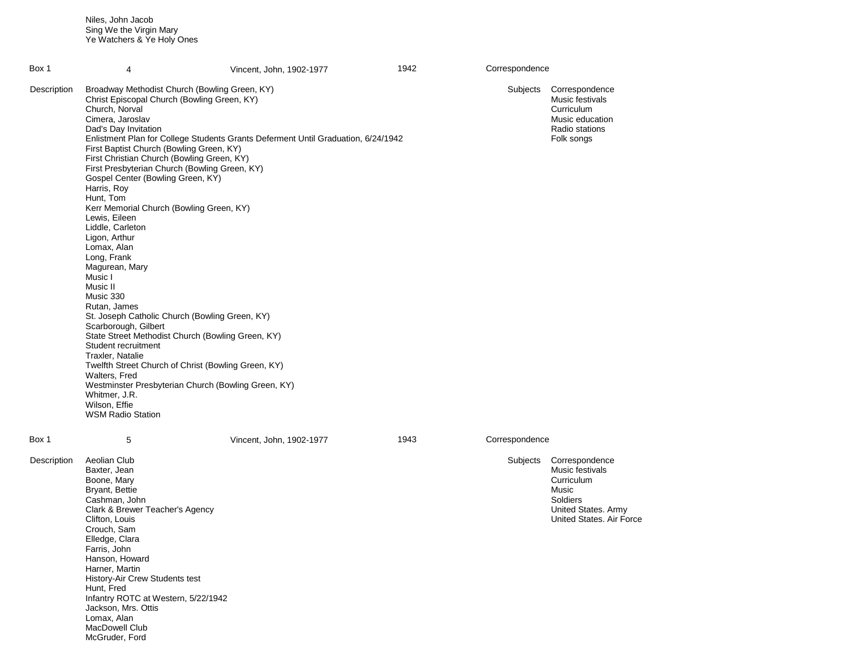Niles, John Jacob Sing We the Virgin Mary Ye Watchers & Ye Holy Ones

| Box 1       | 4                                                                                                                                                                                                                                                                                                                                                                                                                                                                                                                                                                                                                                                                                                                                                                                                                                                                                                                                                                                                                                        | Vincent, John, 1902-1977 | 1942 | Correspondence |                                                                                                                         |
|-------------|------------------------------------------------------------------------------------------------------------------------------------------------------------------------------------------------------------------------------------------------------------------------------------------------------------------------------------------------------------------------------------------------------------------------------------------------------------------------------------------------------------------------------------------------------------------------------------------------------------------------------------------------------------------------------------------------------------------------------------------------------------------------------------------------------------------------------------------------------------------------------------------------------------------------------------------------------------------------------------------------------------------------------------------|--------------------------|------|----------------|-------------------------------------------------------------------------------------------------------------------------|
| Description | Broadway Methodist Church (Bowling Green, KY)<br>Christ Episcopal Church (Bowling Green, KY)<br>Church, Norval<br>Cimera, Jaroslav<br>Dad's Day Invitation<br>Enlistment Plan for College Students Grants Deferment Until Graduation, 6/24/1942<br>First Baptist Church (Bowling Green, KY)<br>First Christian Church (Bowling Green, KY)<br>First Presbyterian Church (Bowling Green, KY)<br>Gospel Center (Bowling Green, KY)<br>Harris, Roy<br>Hunt, Tom<br>Kerr Memorial Church (Bowling Green, KY)<br>Lewis, Eileen<br>Liddle, Carleton<br>Ligon, Arthur<br>Lomax, Alan<br>Long, Frank<br>Magurean, Mary<br>Music I<br>Music II<br>Music 330<br>Rutan, James<br>St. Joseph Catholic Church (Bowling Green, KY)<br>Scarborough, Gilbert<br>State Street Methodist Church (Bowling Green, KY)<br>Student recruitment<br>Traxler, Natalie<br>Twelfth Street Church of Christ (Bowling Green, KY)<br>Walters, Fred<br>Westminster Presbyterian Church (Bowling Green, KY)<br>Whitmer, J.R.<br>Wilson, Effie<br><b>WSM Radio Station</b> |                          |      | Subjects       | Correspondence<br>Music festivals<br>Curriculum<br>Music education<br>Radio stations<br>Folk songs                      |
| Box 1       | 5                                                                                                                                                                                                                                                                                                                                                                                                                                                                                                                                                                                                                                                                                                                                                                                                                                                                                                                                                                                                                                        | Vincent, John, 1902-1977 | 1943 | Correspondence |                                                                                                                         |
| Description | Aeolian Club<br>Baxter, Jean<br>Boone, Mary<br>Bryant, Bettie<br>Cashman, John<br>Clark & Brewer Teacher's Agency<br>Clifton, Louis<br>Crouch, Sam<br>Elledge, Clara<br>Farris, John<br>Hanson, Howard<br>Harner, Martin<br>History-Air Crew Students test<br>Hunt, Fred<br>Infantry ROTC at Western, 5/22/1942<br>Jackson, Mrs. Ottis<br>Lomax, Alan<br>MacDowell Club                                                                                                                                                                                                                                                                                                                                                                                                                                                                                                                                                                                                                                                                  |                          |      | Subjects       | Correspondence<br>Music festivals<br>Curriculum<br>Music<br>Soldiers<br>United States. Army<br>United States. Air Force |

McGruder, Ford